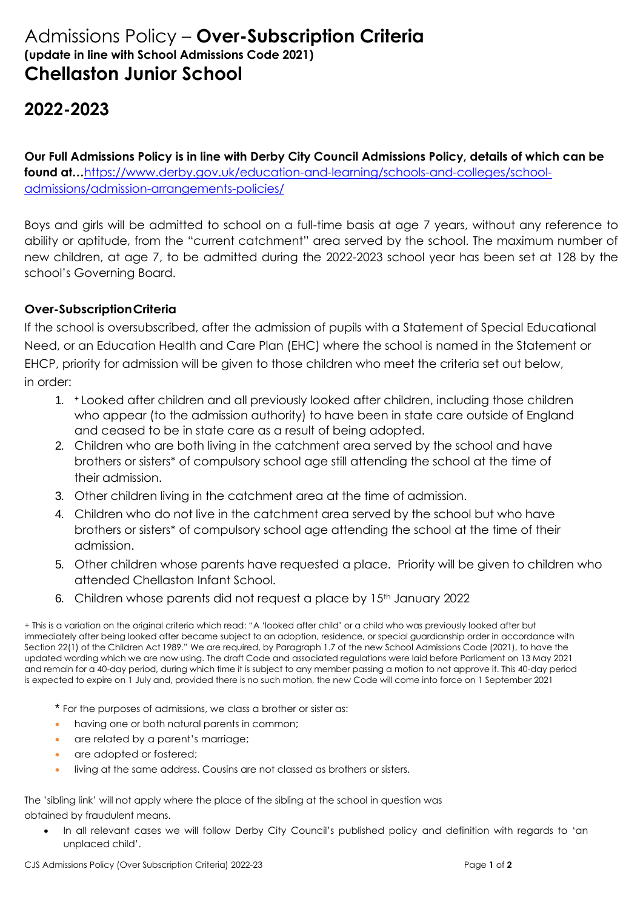## Admissions Policy – **Over-Subscription Criteria (update in line with School Admissions Code 2021) Chellaston Junior School**

## **2022-2023**

**Our Full Admissions Policy is in line with Derby City Council Admissions Policy, details of which can be found at…**[https://www.derby.gov.uk/education-and-learning/schools-and-colleges/school](https://www.derby.gov.uk/education-and-learning/schools-and-colleges/school-admissions/admission-arrangements-policies/)[admissions/admission-arrangements-policies/](https://www.derby.gov.uk/education-and-learning/schools-and-colleges/school-admissions/admission-arrangements-policies/)

Boys and girls will be admitted to school on a full-time basis at age 7 years, without any reference to ability or aptitude, from the "current catchment" area served by the school. The maximum number of new children, at age 7, to be admitted during the 2022-2023 school year has been set at 128 by the school's Governing Board.

## **Over-SubscriptionCriteria**

If the school is oversubscribed, after the admission of pupils with a Statement of Special Educational Need, or an Education Health and Care Plan (EHC) where the school is named in the Statement or EHCP, priority for admission will be given to those children who meet the criteria set out below, in order:

- 1. <sup>+</sup> Looked after children and all previously looked after children, including those children who appear (to the admission authority) to have been in state care outside of England and ceased to be in state care as a result of being adopted.
- 2. Children who are both living in the catchment area served by the school and have brothers or sisters\* of compulsory school age still attending the school at the time of their admission.
- 3. Other children living in the catchment area at the time of admission.
- 4. Children who do not live in the catchment area served by the school but who have brothers or sisters\* of compulsory school age attending the school at the time of their admission.
- 5. Other children whose parents have requested a place. Priority will be given to children who attended Chellaston Infant School.
- 6. Children whose parents did not request a place by  $15<sup>th</sup>$  January 2022

+ This is a variation on the original criteria which read: "A 'looked after child' or a child who was previously looked after but immediately after being looked after became subject to an adoption, residence, or special guardianship order in accordance with Section 22(1) of the Children Act 1989." We are required, by Paragraph 1.7 of the new School Admissions Code (2021), to have the updated wording which we are now using. The draft Code and associated regulations were laid before Parliament on 13 May 2021 and remain for a 40-day period, during which time it is subject to any member passing a motion to not approve it. This 40-day period is expected to expire on 1 July and, provided there is no such motion, the new Code will come into force on 1 September 2021

\* For the purposes of admissions, we class a brother or sister as:

- having one or both natural parents in common;
- are related by a parent's marriage;
- are adopted or fostered;
- living at the same address. Cousins are not classed as brothers or sisters.

The 'sibling link' will not apply where the place of the sibling at the school in question was obtained by fraudulent means.

In all relevant cases we will follow Derby City Council's published policy and definition with regards to 'an unplaced child'.